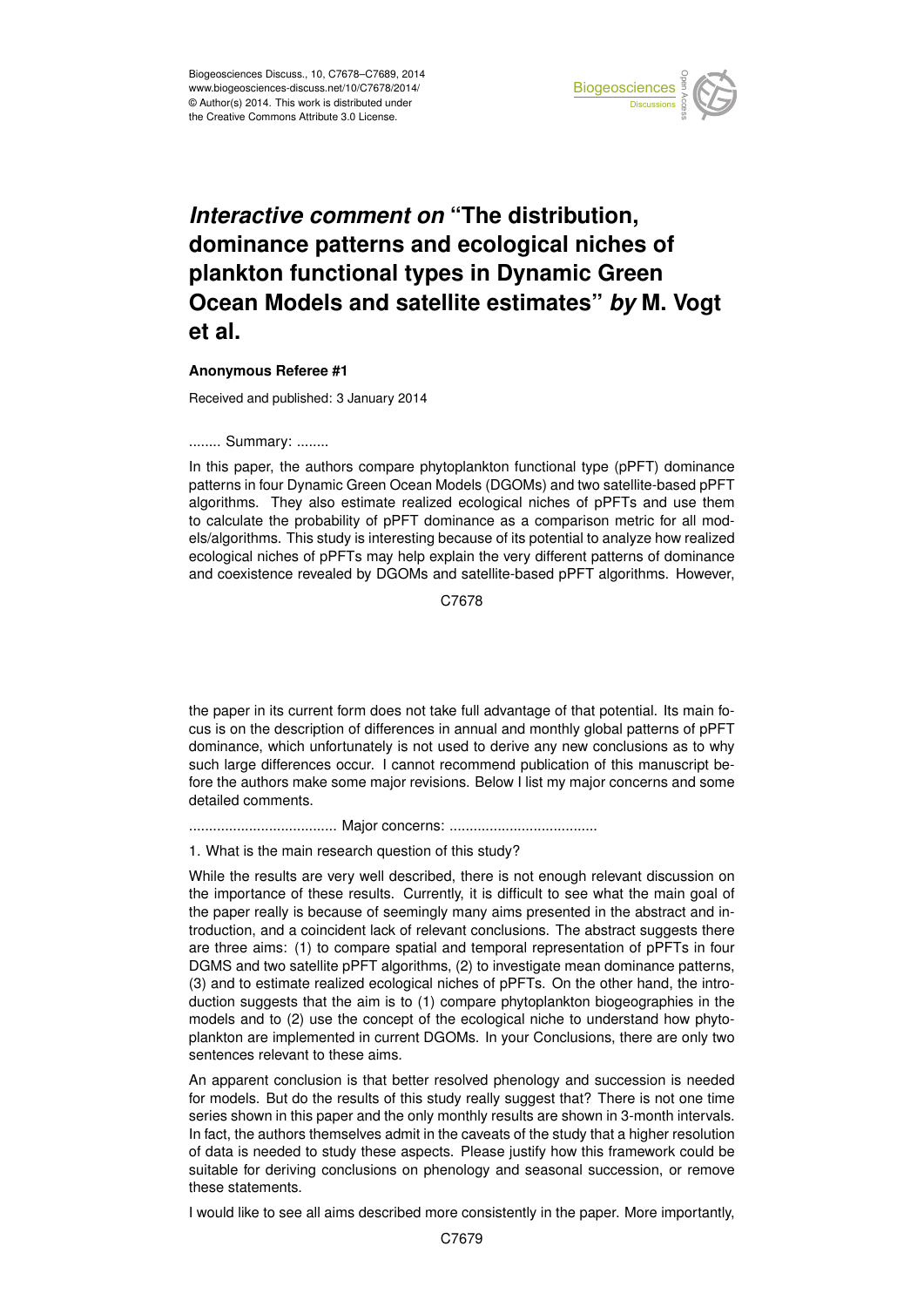

#### Earth System dominance patterns and ecological niches of  $\mathbf{b}$ *Interactive comment on "*The distribution, plankton functional types in Dynamic Green nd oote and sale  $\blacksquare$  $\mathbf{b}$ ishi **Ocean Models and satellite estimates"** *by* **M. Vogt**  $\prime$ **et al.**

# **Anonymous Referee #1**

Geoscientific Received and published: 3 January 2014

#### ........ Summary: ........

In this paper, the authors compare phytoplankton functional type (pPFT) dominance patterns in four Dynamic Green Ocean Models (DGOMs) and two satellite-based pPFT tc<br>1c n<br>e algorithms. They also estimate realized ecological niches of pPFTs and use them els/algorithms. This study is interesting because of its potential to analyze how realized m<br>Se<br>P e<br>ا ≀<br>n ecological niches of pPFTs may help explain the very different patterns of dominance to calculate the probability of pPFT dominance as a comparison metric for all modand coexistence revealed by DGOMs and satellite-based pPFT algorithms. However,

> C<br>C C7678

k<br>Ki  $\overline{a}$ the paper in its current form does not take full advantage of that potential. Its main focus is on the description of differences in annual and monthly global patterns of pPFT dominance, which unfortunately is not used to derive any new conclusions as to why such large differences occur. I cannot recommend publication of this manuscript before the authors make some major revisions. Below I list my major concerns and some detailed comments.

..................................... Major concerns: .....................................

1. What is the main research question of this study?

While the results are very well described, there is not enough relevant discussion on the importance of these results. Currently, it is difficult to see what the main goal of the paper really is because of seemingly many aims presented in the abstract and introduction, and a coincident lack of relevant conclusions. The abstract suggests there are three aims: (1) to compare spatial and temporal representation of pPFTs in four DGMS and two satellite pPFT algorithms, (2) to investigate mean dominance patterns, (3) and to estimate realized ecological niches of pPFTs. On the other hand, the introduction suggests that the aim is to (1) compare phytoplankton biogeographies in the models and to (2) use the concept of the ecological niche to understand how phytoplankton are implemented in current DGOMs. In your Conclusions, there are only two sentences relevant to these aims.

An apparent conclusion is that better resolved phenology and succession is needed for models. But do the results of this study really suggest that? There is not one time series shown in this paper and the only monthly results are shown in 3-month intervals. In fact, the authors themselves admit in the caveats of the study that a higher resolution of data is needed to study these aspects. Please justify how this framework could be suitable for deriving conclusions on phenology and seasonal succession, or remove these statements.

I would like to see all aims described more consistently in the paper. More importantly,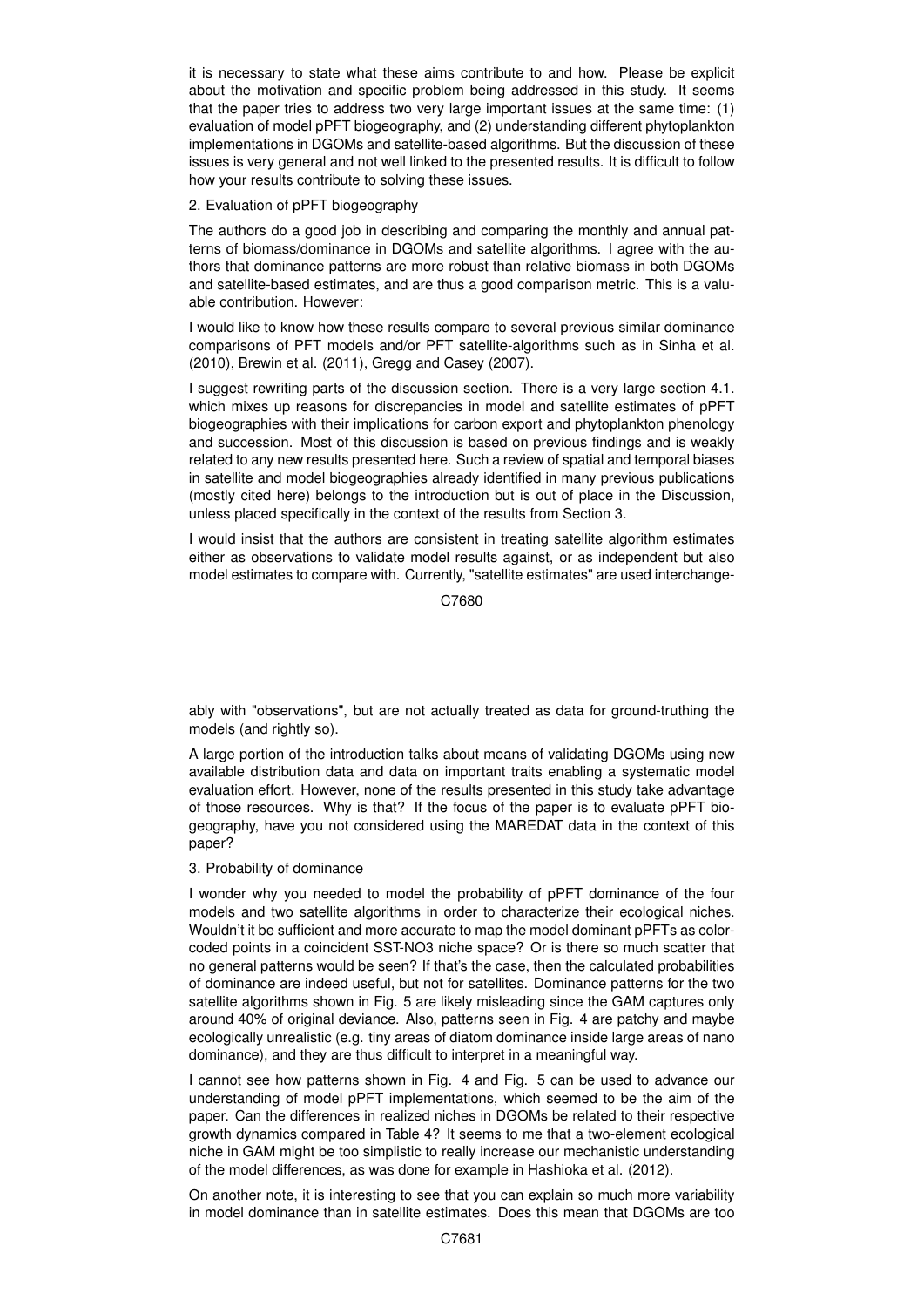it is necessary to state what these aims contribute to and how. Please be explicit about the motivation and specific problem being addressed in this study. It seems that the paper tries to address two very large important issues at the same time: (1) evaluation of model pPFT biogeography, and (2) understanding different phytoplankton implementations in DGOMs and satellite-based algorithms. But the discussion of these issues is very general and not well linked to the presented results. It is difficult to follow how your results contribute to solving these issues.

### 2. Evaluation of pPFT biogeography

The authors do a good job in describing and comparing the monthly and annual patterns of biomass/dominance in DGOMs and satellite algorithms. I agree with the authors that dominance patterns are more robust than relative biomass in both DGOMs and satellite-based estimates, and are thus a good comparison metric. This is a valuable contribution. However:

I would like to know how these results compare to several previous similar dominance comparisons of PFT models and/or PFT satellite-algorithms such as in Sinha et al. (2010), Brewin et al. (2011), Gregg and Casey (2007).

I suggest rewriting parts of the discussion section. There is a very large section 4.1. which mixes up reasons for discrepancies in model and satellite estimates of pPFT biogeographies with their implications for carbon export and phytoplankton phenology and succession. Most of this discussion is based on previous findings and is weakly related to any new results presented here. Such a review of spatial and temporal biases in satellite and model biogeographies already identified in many previous publications (mostly cited here) belongs to the introduction but is out of place in the Discussion, unless placed specifically in the context of the results from Section 3.

I would insist that the authors are consistent in treating satellite algorithm estimates either as observations to validate model results against, or as independent but also model estimates to compare with. Currently, "satellite estimates" are used interchange-

C7680

ably with "observations", but are not actually treated as data for ground-truthing the models (and rightly so).

A large portion of the introduction talks about means of validating DGOMs using new available distribution data and data on important traits enabling a systematic model evaluation effort. However, none of the results presented in this study take advantage of those resources. Why is that? If the focus of the paper is to evaluate pPFT biogeography, have you not considered using the MAREDAT data in the context of this paper?

#### 3. Probability of dominance

I wonder why you needed to model the probability of pPFT dominance of the four models and two satellite algorithms in order to characterize their ecological niches. Wouldn't it be sufficient and more accurate to map the model dominant pPFTs as colorcoded points in a coincident SST-NO3 niche space? Or is there so much scatter that no general patterns would be seen? If that's the case, then the calculated probabilities of dominance are indeed useful, but not for satellites. Dominance patterns for the two satellite algorithms shown in Fig. 5 are likely misleading since the GAM captures only around 40% of original deviance. Also, patterns seen in Fig. 4 are patchy and maybe ecologically unrealistic (e.g. tiny areas of diatom dominance inside large areas of nano dominance), and they are thus difficult to interpret in a meaningful way.

I cannot see how patterns shown in Fig. 4 and Fig. 5 can be used to advance our understanding of model pPFT implementations, which seemed to be the aim of the paper. Can the differences in realized niches in DGOMs be related to their respective growth dynamics compared in Table 4? It seems to me that a two-element ecological niche in GAM might be too simplistic to really increase our mechanistic understanding of the model differences, as was done for example in Hashioka et al. (2012).

On another note, it is interesting to see that you can explain so much more variability in model dominance than in satellite estimates. Does this mean that DGOMs are too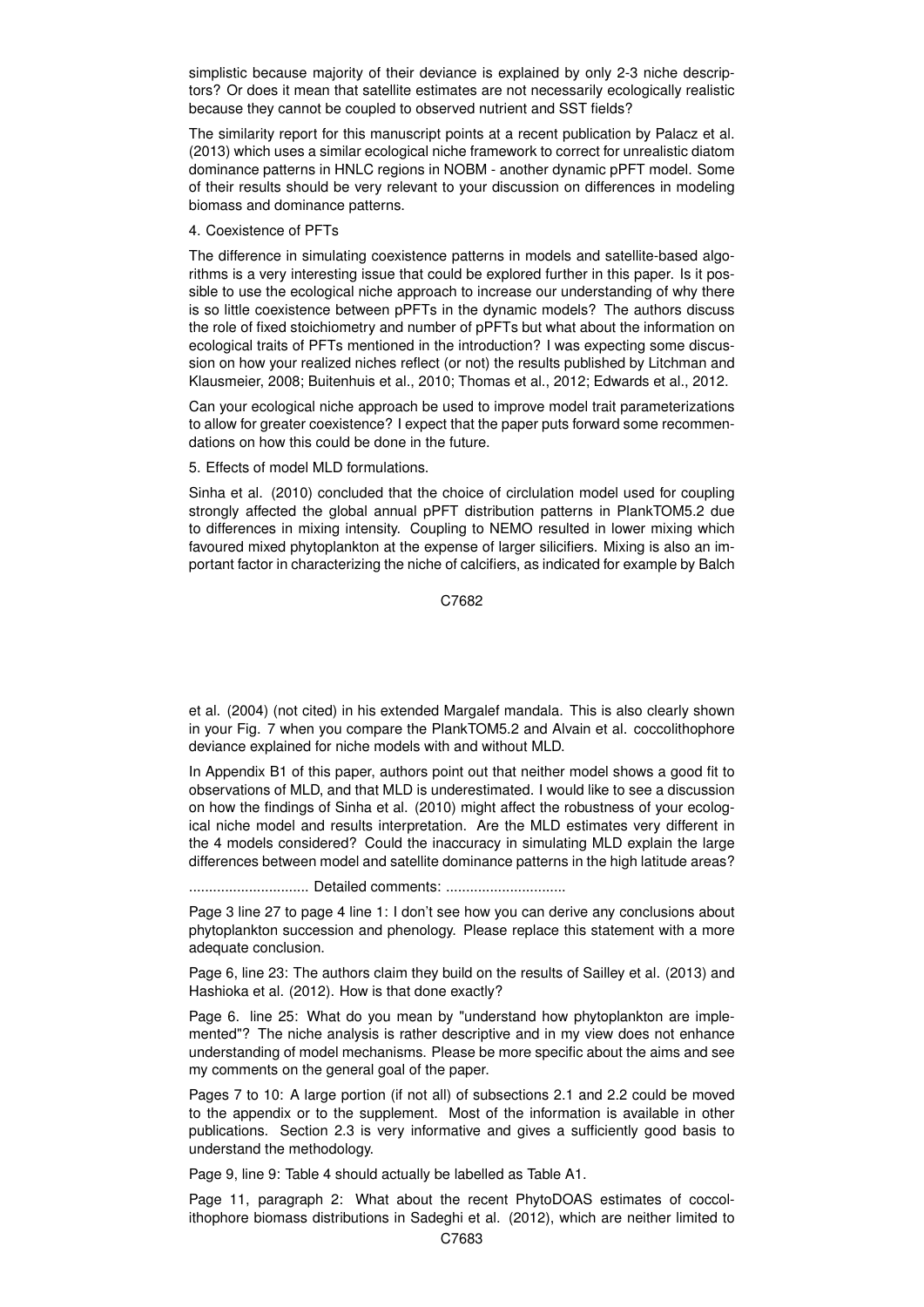simplistic because majority of their deviance is explained by only 2-3 niche descriptors? Or does it mean that satellite estimates are not necessarily ecologically realistic because they cannot be coupled to observed nutrient and SST fields?

The similarity report for this manuscript points at a recent publication by Palacz et al. (2013) which uses a similar ecological niche framework to correct for unrealistic diatom dominance patterns in HNLC regions in NOBM - another dynamic pPFT model. Some of their results should be very relevant to your discussion on differences in modeling biomass and dominance patterns.

## 4. Coexistence of PFTs

The difference in simulating coexistence patterns in models and satellite-based algorithms is a very interesting issue that could be explored further in this paper. Is it possible to use the ecological niche approach to increase our understanding of why there is so little coexistence between pPFTs in the dynamic models? The authors discuss the role of fixed stoichiometry and number of pPFTs but what about the information on ecological traits of PFTs mentioned in the introduction? I was expecting some discussion on how your realized niches reflect (or not) the results published by Litchman and Klausmeier, 2008; Buitenhuis et al., 2010; Thomas et al., 2012; Edwards et al., 2012.

Can your ecological niche approach be used to improve model trait parameterizations to allow for greater coexistence? I expect that the paper puts forward some recommendations on how this could be done in the future.

5. Effects of model MLD formulations.

Sinha et al. (2010) concluded that the choice of circlulation model used for coupling strongly affected the global annual pPFT distribution patterns in PlankTOM5.2 due to differences in mixing intensity. Coupling to NEMO resulted in lower mixing which favoured mixed phytoplankton at the expense of larger silicifiers. Mixing is also an important factor in characterizing the niche of calcifiers, as indicated for example by Balch

C7682

et al. (2004) (not cited) in his extended Margalef mandala. This is also clearly shown in your Fig. 7 when you compare the PlankTOM5.2 and Alvain et al. coccolithophore deviance explained for niche models with and without MLD.

In Appendix B1 of this paper, authors point out that neither model shows a good fit to observations of MLD, and that MLD is underestimated. I would like to see a discussion on how the findings of Sinha et al. (2010) might affect the robustness of your ecological niche model and results interpretation. Are the MLD estimates very different in the 4 models considered? Could the inaccuracy in simulating MLD explain the large differences between model and satellite dominance patterns in the high latitude areas?

.............................. Detailed comments: ..............................

Page 3 line 27 to page 4 line 1: I don't see how you can derive any conclusions about phytoplankton succession and phenology. Please replace this statement with a more adequate conclusion.

Page 6, line 23: The authors claim they build on the results of Sailley et al. (2013) and Hashioka et al. (2012). How is that done exactly?

Page 6. line 25: What do you mean by "understand how phytoplankton are implemented"? The niche analysis is rather descriptive and in my view does not enhance understanding of model mechanisms. Please be more specific about the aims and see my comments on the general goal of the paper.

Pages 7 to 10: A large portion (if not all) of subsections 2.1 and 2.2 could be moved to the appendix or to the supplement. Most of the information is available in other publications. Section 2.3 is very informative and gives a sufficiently good basis to understand the methodology.

Page 9, line 9: Table 4 should actually be labelled as Table A1.

Page 11, paragraph 2: What about the recent PhytoDOAS estimates of coccolithophore biomass distributions in Sadeghi et al. (2012), which are neither limited to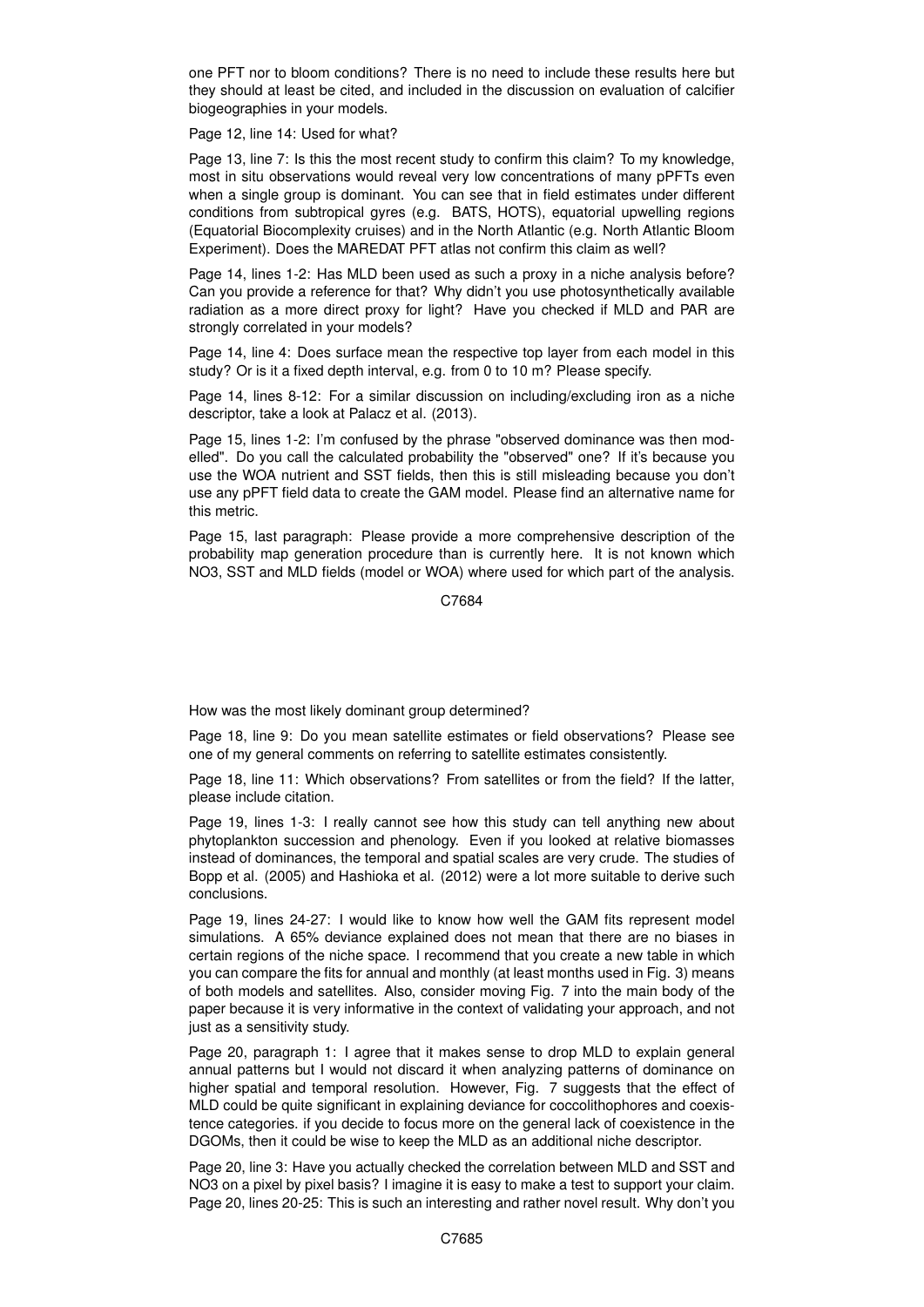one PFT nor to bloom conditions? There is no need to include these results here but they should at least be cited, and included in the discussion on evaluation of calcifier biogeographies in your models.

Page 12, line 14: Used for what?

Page 13, line 7: Is this the most recent study to confirm this claim? To my knowledge, most in situ observations would reveal very low concentrations of many pPFTs even when a single group is dominant. You can see that in field estimates under different conditions from subtropical gyres (e.g. BATS, HOTS), equatorial upwelling regions (Equatorial Biocomplexity cruises) and in the North Atlantic (e.g. North Atlantic Bloom Experiment). Does the MAREDAT PFT atlas not confirm this claim as well?

Page 14, lines 1-2: Has MLD been used as such a proxy in a niche analysis before? Can you provide a reference for that? Why didn't you use photosynthetically available radiation as a more direct proxy for light? Have you checked if MLD and PAR are strongly correlated in your models?

Page 14, line 4: Does surface mean the respective top layer from each model in this study? Or is it a fixed depth interval, e.g. from 0 to 10 m? Please specify.

Page 14, lines 8-12: For a similar discussion on including/excluding iron as a niche descriptor, take a look at Palacz et al. (2013).

Page 15, lines 1-2: I'm confused by the phrase "observed dominance was then modelled". Do you call the calculated probability the "observed" one? If it's because you use the WOA nutrient and SST fields, then this is still misleading because you don't use any pPFT field data to create the GAM model. Please find an alternative name for this metric.

Page 15, last paragraph: Please provide a more comprehensive description of the probability map generation procedure than is currently here. It is not known which NO3, SST and MLD fields (model or WOA) where used for which part of the analysis.

C7684

How was the most likely dominant group determined?

Page 18, line 9: Do you mean satellite estimates or field observations? Please see one of my general comments on referring to satellite estimates consistently.

Page 18, line 11: Which observations? From satellites or from the field? If the latter, please include citation.

Page 19, lines 1-3: I really cannot see how this study can tell anything new about phytoplankton succession and phenology. Even if you looked at relative biomasses instead of dominances, the temporal and spatial scales are very crude. The studies of Bopp et al. (2005) and Hashioka et al. (2012) were a lot more suitable to derive such conclusions.

Page 19, lines 24-27: I would like to know how well the GAM fits represent model simulations. A 65% deviance explained does not mean that there are no biases in certain regions of the niche space. I recommend that you create a new table in which you can compare the fits for annual and monthly (at least months used in Fig. 3) means of both models and satellites. Also, consider moving Fig. 7 into the main body of the paper because it is very informative in the context of validating your approach, and not just as a sensitivity study.

Page 20, paragraph 1: I agree that it makes sense to drop MLD to explain general annual patterns but I would not discard it when analyzing patterns of dominance on higher spatial and temporal resolution. However, Fig. 7 suggests that the effect of MLD could be quite significant in explaining deviance for coccolithophores and coexistence categories. if you decide to focus more on the general lack of coexistence in the DGOMs, then it could be wise to keep the MLD as an additional niche descriptor.

Page 20, line 3: Have you actually checked the correlation between MLD and SST and NO3 on a pixel by pixel basis? I imagine it is easy to make a test to support your claim. Page 20, lines 20-25: This is such an interesting and rather novel result. Why don't you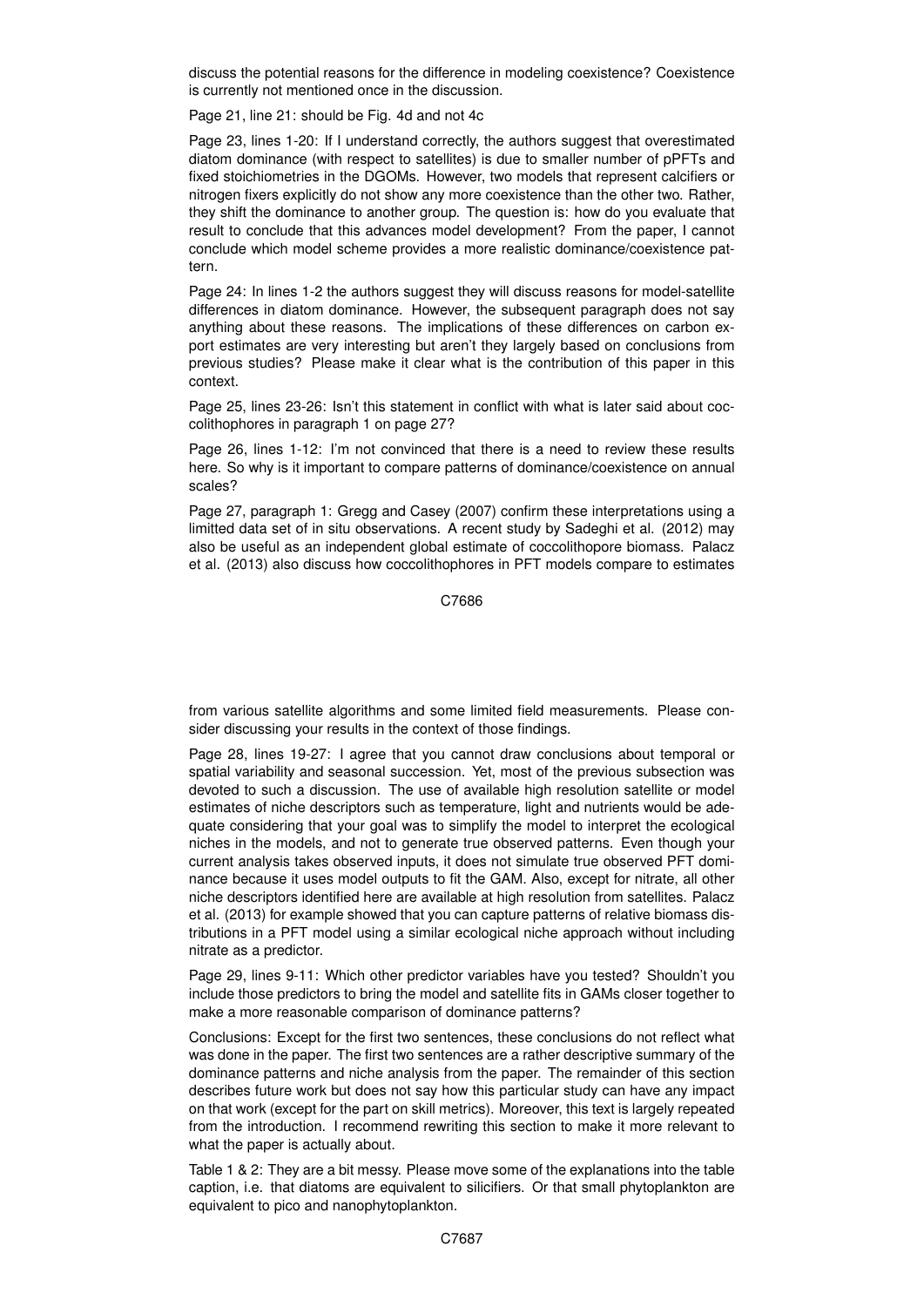discuss the potential reasons for the difference in modeling coexistence? Coexistence is currently not mentioned once in the discussion.

Page 21, line 21: should be Fig. 4d and not 4c

Page 23, lines 1-20: If I understand correctly, the authors suggest that overestimated diatom dominance (with respect to satellites) is due to smaller number of pPFTs and fixed stoichiometries in the DGOMs. However, two models that represent calcifiers or nitrogen fixers explicitly do not show any more coexistence than the other two. Rather, they shift the dominance to another group. The question is: how do you evaluate that result to conclude that this advances model development? From the paper, I cannot conclude which model scheme provides a more realistic dominance/coexistence pattern.

Page 24: In lines 1-2 the authors suggest they will discuss reasons for model-satellite differences in diatom dominance. However, the subsequent paragraph does not say anything about these reasons. The implications of these differences on carbon export estimates are very interesting but aren't they largely based on conclusions from previous studies? Please make it clear what is the contribution of this paper in this context.

Page 25, lines 23-26: Isn't this statement in conflict with what is later said about coccolithophores in paragraph 1 on page 27?

Page 26, lines 1-12: I'm not convinced that there is a need to review these results here. So why is it important to compare patterns of dominance/coexistence on annual scales?

Page 27, paragraph 1: Gregg and Casey (2007) confirm these interpretations using a limitted data set of in situ observations. A recent study by Sadeghi et al. (2012) may also be useful as an independent global estimate of coccolithopore biomass. Palacz et al. (2013) also discuss how coccolithophores in PFT models compare to estimates

C7686

from various satellite algorithms and some limited field measurements. Please consider discussing your results in the context of those findings.

Page 28, lines 19-27: I agree that you cannot draw conclusions about temporal or spatial variability and seasonal succession. Yet, most of the previous subsection was devoted to such a discussion. The use of available high resolution satellite or model estimates of niche descriptors such as temperature, light and nutrients would be adequate considering that your goal was to simplify the model to interpret the ecological niches in the models, and not to generate true observed patterns. Even though your current analysis takes observed inputs, it does not simulate true observed PFT dominance because it uses model outputs to fit the GAM. Also, except for nitrate, all other niche descriptors identified here are available at high resolution from satellites. Palacz et al. (2013) for example showed that you can capture patterns of relative biomass distributions in a PFT model using a similar ecological niche approach without including nitrate as a predictor.

Page 29, lines 9-11: Which other predictor variables have you tested? Shouldn't you include those predictors to bring the model and satellite fits in GAMs closer together to make a more reasonable comparison of dominance patterns?

Conclusions: Except for the first two sentences, these conclusions do not reflect what was done in the paper. The first two sentences are a rather descriptive summary of the dominance patterns and niche analysis from the paper. The remainder of this section describes future work but does not say how this particular study can have any impact on that work (except for the part on skill metrics). Moreover, this text is largely repeated from the introduction. I recommend rewriting this section to make it more relevant to what the paper is actually about.

Table 1 & 2: They are a bit messy. Please move some of the explanations into the table caption, i.e. that diatoms are equivalent to silicifiers. Or that small phytoplankton are equivalent to pico and nanophytoplankton.